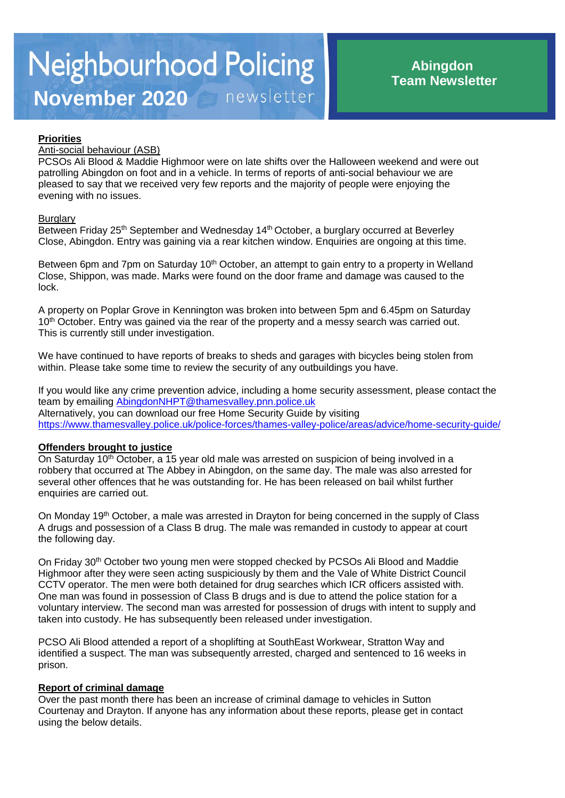## **Priorities**

### Anti-social behaviour (ASB)

PCSOs Ali Blood & Maddie Highmoor were on late shifts over the Halloween weekend and were out patrolling Abingdon on foot and in a vehicle. In terms of reports of anti-social behaviour we are pleased to say that we received very few reports and the majority of people were enjoying the evening with no issues.

#### **Burglary**

Between Friday 25<sup>th</sup> September and Wednesday 14<sup>th</sup> October, a burglary occurred at Beverley Close, Abingdon. Entry was gaining via a rear kitchen window. Enquiries are ongoing at this time.

Between 6pm and 7pm on Saturday 10<sup>th</sup> October, an attempt to gain entry to a property in Welland Close, Shippon, was made. Marks were found on the door frame and damage was caused to the lock.

A property on Poplar Grove in Kennington was broken into between 5pm and 6.45pm on Saturday 10<sup>th</sup> October. Entry was gained via the rear of the property and a messy search was carried out. This is currently still under investigation.

We have continued to have reports of breaks to sheds and garages with bicycles being stolen from within. Please take some time to review the security of any outbuildings you have.

If you would like any crime prevention advice, including a home security assessment, please contact the team by emailing [AbingdonNHPT@thamesvalley.pnn.police.uk](mailto:AbingdonNHPT@thamesvalley.pnn.police.uk) Alternatively, you can download our free Home Security Guide by visiting <https://www.thamesvalley.police.uk/police-forces/thames-valley-police/areas/advice/home-security-guide/>

#### **Offenders brought to justice**

On Saturday 10<sup>th</sup> October, a 15 year old male was arrested on suspicion of being involved in a robbery that occurred at The Abbey in Abingdon, on the same day. The male was also arrested for several other offences that he was outstanding for. He has been released on bail whilst further enquiries are carried out.

On Monday 19th October, a male was arrested in Drayton for being concerned in the supply of Class A drugs and possession of a Class B drug. The male was remanded in custody to appear at court the following day.

On Friday 30<sup>th</sup> October two young men were stopped checked by PCSOs Ali Blood and Maddie Highmoor after they were seen acting suspiciously by them and the Vale of White District Council CCTV operator. The men were both detained for drug searches which ICR officers assisted with. One man was found in possession of Class B drugs and is due to attend the police station for a voluntary interview. The second man was arrested for possession of drugs with intent to supply and taken into custody. He has subsequently been released under investigation.

PCSO Ali Blood attended a report of a shoplifting at SouthEast Workwear, Stratton Way and identified a suspect. The man was subsequently arrested, charged and sentenced to 16 weeks in prison.

#### **Report of criminal damage**

Over the past month there has been an increase of criminal damage to vehicles in Sutton Courtenay and Drayton. If anyone has any information about these reports, please get in contact using the below details.